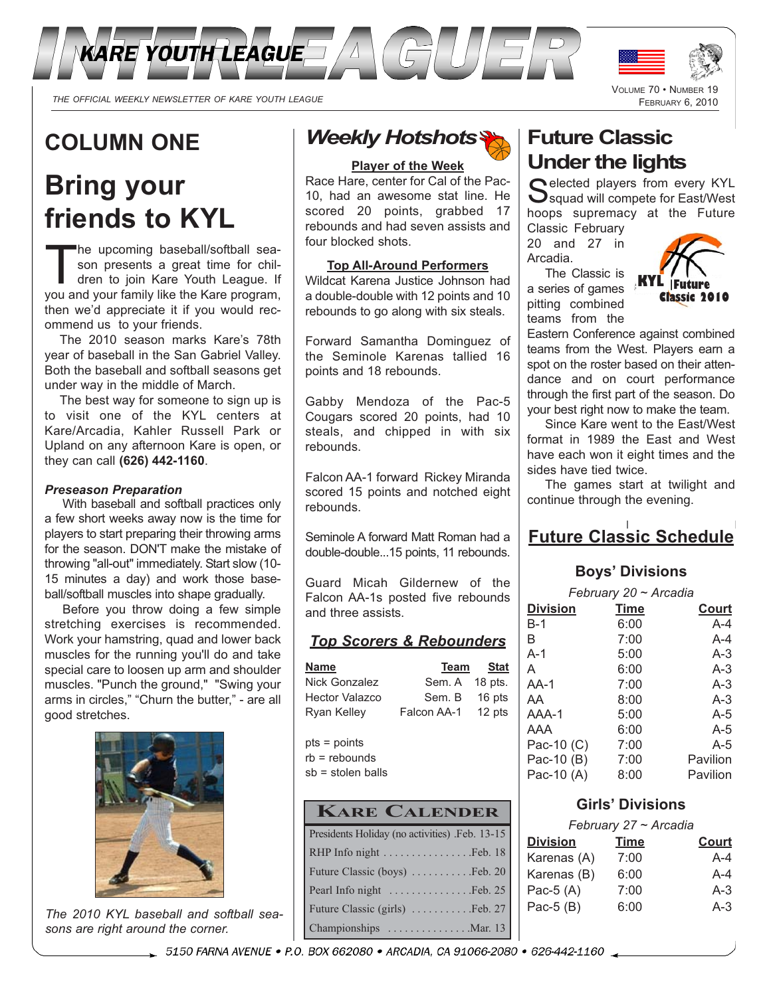

*THE OFFICIAL WEEKLY NEWSLETTER OF KARE YOUTH LEAGUE*

# **COLUMN ONE**

# **Bring your friends to KYL**

The upcoming baseball/softball sea-<br>son presents a great time for chil-<br>dren to join Kare Youth League. If son presents a great time for chilyou and your family like the Kare program, then we'd appreciate it if you would recommend us to your friends.

The 2010 season marks Kare's 78th year of baseball in the San Gabriel Valley. Both the baseball and softball seasons get under way in the middle of March.

The best way for someone to sign up is to visit one of the KYL centers at Kare/Arcadia, Kahler Russell Park or Upland on any afternoon Kare is open, or they can call **(626) 442-1160**.

#### *Preseason Preparation*

With baseball and softball practices only a few short weeks away now is the time for players to start preparing their throwing arms for the season. DON'T make the mistake of throwing "all-out" immediately. Start slow (10- 15 minutes a day) and work those baseball/softball muscles into shape gradually.

Before you throw doing a few simple stretching exercises is recommended. Work your hamstring, quad and lower back muscles for the running you'll do and take special care to loosen up arm and shoulder muscles. "Punch the ground," "Swing your arms in circles," "Churn the butter," - are all good stretches.



The 2010 KYL baseball and softball sea*sons are right around the corner.*

## *Weekly Hotshots*

#### **Player of the Week**

Race Hare, center for Cal of the Pac-10, had an awesome stat line. He scored 20 points, grabbed 17 rebounds and had seven assists and four blocked shots.

#### **Top All-Around Performers**

Wildcat Karena Justice Johnson had a double-double with 12 points and 10 rebounds to go along with six steals.

Forward Samantha Dominguez of the Seminole Karenas tallied 16 points and 18 rebounds.

Gabby Mendoza of the Pac-5 Cougars scored 20 points, had 10 steals, and chipped in with six rebounds.

Falcon AA-1 forward Rickey Miranda scored 15 points and notched eight rebounds.

Seminole A forward Matt Roman had a double-double...15 points, 11 rebounds.

Guard Micah Gildernew of the Falcon AA-1s posted five rebounds and three assists.

#### *Top Scorers & Rebounders*

| <u>Name</u>                     | Team           | <b>Stat</b> |
|---------------------------------|----------------|-------------|
| Nick Gonzalez                   | Sem. A 18 pts. |             |
| <b>Hector Valazco</b>           | Sem. B         | 16 pts      |
| Ryan Kelley                     | Falcon AA-1    | 12 pts      |
| pts = points<br>$rb =$ rebounds |                |             |

sb = stolen balls

## **KARE CALENDER**

| Presidents Holiday (no activities) .Feb. 13-15 |
|------------------------------------------------|
|                                                |
| Future Classic (boys)  Feb. 20                 |
| Pearl Info night Feb. 25                       |
| Future Classic (girls)  Feb. 27                |
| Championships Mar. 13                          |

## **Future Classic Under the lights**

Selected players from every KYL<br>Squad will compete for East/West hoops supremacy at the Future Classic February

VOLUME 70 • NUMBER 19 FEBRUARY 6, 2010

20 and 27 in Arcadia. The Classic is

a series of games pitting combined



teams from the Eastern Conference against combined teams from the West. Players earn a spot on the roster based on their attendance and on court performance through the first part of the season. Do your best right now to make the team.

Since Kare went to the East/West format in 1989 the East and West have each won it eight times and the sides have tied twice.

The games start at twilight and continue through the evening.

## **Future Classic Schedule**

#### **Boys' Divisions**

*February 20 ~ Arcadia*

|                 | $1$ $0 \times 1$ $0 \times 1$ $0 \times 1$ $0 \times 1$ |      |          |
|-----------------|---------------------------------------------------------|------|----------|
| <b>Division</b> |                                                         | Time | Court    |
| $B-1$           |                                                         | 6:00 | $A - 4$  |
| в               |                                                         | 7:00 | $A - 4$  |
| $A-1$           |                                                         | 5:00 | $A-3$    |
| A               |                                                         | 6:00 | $A-3$    |
| $AA-1$          |                                                         | 7:00 | $A-3$    |
| AA              |                                                         | 8:00 | $A-3$    |
| AAA-1           |                                                         | 5:00 | $A-5$    |
| AAA             |                                                         | 6:00 | $A-5$    |
| Pac-10 (C)      |                                                         | 7:00 | $A-5$    |
| Pac-10 (B)      |                                                         | 7:00 | Pavilion |
| Pac-10 (A)      |                                                         | 8:00 | Pavilion |
|                 |                                                         |      |          |

#### **Girls' Divisions**

| February 27 ~ Arcadia |              |  |
|-----------------------|--------------|--|
| <u>Time</u>           | <u>Court</u> |  |
| 7:00                  | A-4          |  |
| 6:00                  | A-4          |  |
| 7:00                  | $A-3$        |  |
| 6:00                  | $A-3$        |  |
|                       |              |  |